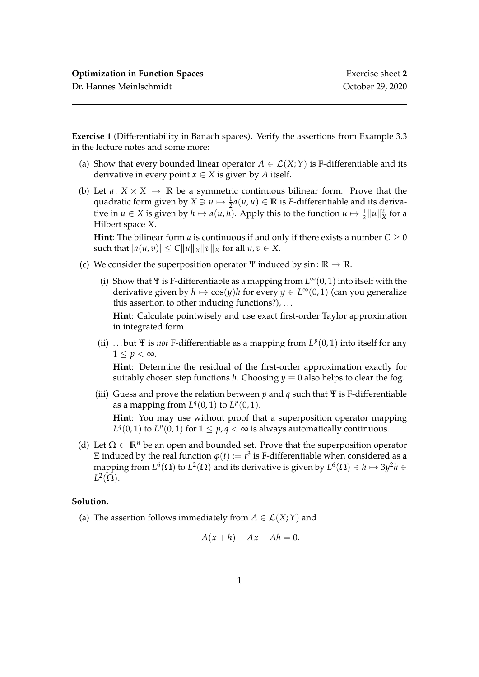Dr. Hannes Meinlschmidt October 29, 2020

**Exercise 1** (Differentiability in Banach spaces)**.** Verify the assertions from Example 3.3 in the lecture notes and some more:

- (a) Show that every bounded linear operator  $A \in \mathcal{L}(X;Y)$  is F-differentiable and its derivative in every point  $x \in X$  is given by *A* itself.
- (b) Let  $a: X \times X \rightarrow \mathbb{R}$  be a symmetric continuous bilinear form. Prove that the quadratic form given by  $X \ni u \mapsto \frac{1}{2}a(u, u) \in \mathbb{R}$  is *F*-differentiable and its derivative in  $u \in X$  is given by  $h \mapsto a(u, h)$ . Apply this to the function  $u \mapsto \frac{1}{2} ||u||_X^2$  for a Hilbert space *X*.

**Hint**: The bilinear form *a* is continuous if and only if there exists a number  $C \ge 0$ such that  $|a(u, v)| \leq C ||u||_X ||v||_X$  for all  $u, v \in X$ .

- (c) We consider the superposition operator  $\Psi$  induced by sin:  $\mathbb{R} \to \mathbb{R}$ .
	- (i) Show that Ψ is F-differentiable as a mapping from *L* <sup>∞</sup>(0, 1) into itself with the derivative given by  $h \mapsto \cos(y)h$  for every  $y \in L^{\infty}(0, 1)$  (can you generalize this assertion to other inducing functions?), . . .

**Hint**: Calculate pointwisely and use exact first-order Taylor approximation in integrated form.

(ii) ...but  $\Psi$  is *not* F-differentiable as a mapping from  $L^p(0,1)$  into itself for any  $1 \leq p < \infty$ .

**Hint**: Determine the residual of the first-order approximation exactly for suitably chosen step functions *h*. Choosing  $y \equiv 0$  also helps to clear the fog.

(iii) Guess and prove the relation between *p* and *q* such that Ψ is F-differentiable as a mapping from  $L^q(0,1)$  to  $L^p(0,1)$ . **Hint**: You may use without proof that a superposition operator mapping

*L*<sup> $q$ </sup>(0, 1) to *L*<sup> $p$ </sup>(0, 1) for  $1 \leq p$ ,  $q < \infty$  is always automatically continuous.

(d) Let  $\Omega \subset \mathbb{R}^n$  be an open and bounded set. Prove that the superposition operator  $\Xi$  induced by the real function  $\varphi(t) \coloneqq t^3$  is F-differentiable when considered as a mapping from  $L^6(\Omega)$  to  $L^2(\Omega)$  and its derivative is given by  $L^6(\Omega) \ni h \mapsto 3y^2h \in$  $L^2(\Omega)$ .

## **Solution.**

(a) The assertion follows immediately from  $A \in \mathcal{L}(X;Y)$  and

$$
A(x+h) - Ax - Ah = 0.
$$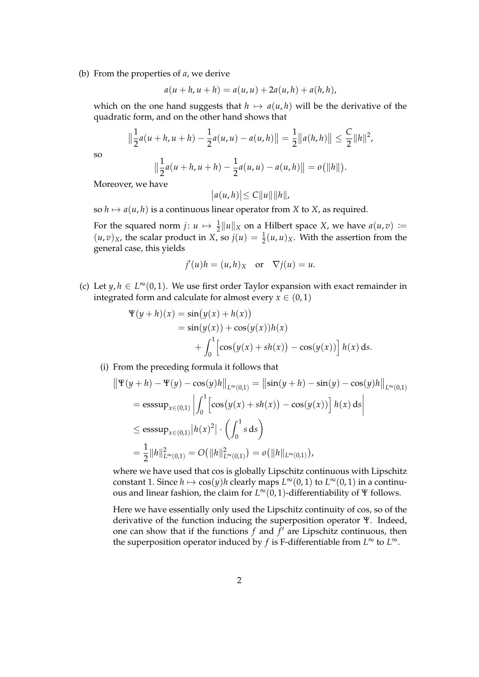(b) From the properties of *a*, we derive

$$
a(u + h, u + h) = a(u, u) + 2a(u, h) + a(h, h),
$$

which on the one hand suggests that  $h \mapsto a(u, h)$  will be the derivative of the quadratic form, and on the other hand shows that

$$
\left\|\frac{1}{2}a(u+h,u+h)-\frac{1}{2}a(u,u)-a(u,h)\right\|=\frac{1}{2}\|a(h,h)\|\leq \frac{C}{2}\|h\|^2,
$$

so

$$
\left\|\frac{1}{2}a(u+h,u+h)-\frac{1}{2}a(u,u)-a(u,h)\right\|=o(\|h\|).
$$

Moreover, we have

$$
|a(u,h)|\leq C||u|| ||h||,
$$

so  $h \mapsto a(u, h)$  is a continuous linear operator from *X* to *X*, as required.

For the squared norm  $j: u \mapsto \frac{1}{2} ||u||_X$  on a Hilbert space *X*, we have  $a(u, v) :=$  $(u, v)_X$ , the scalar product in *X*, so  $j(u) = \frac{1}{2}(u, u)_X$ . With the assertion from the general case, this yields

$$
j'(u)h = (u,h)_X \text{ or } \nabla j(u) = u.
$$

(c) Let  $y, h \in L^{\infty}(0, 1)$ . We use first order Taylor expansion with exact remainder in integrated form and calculate for almost every  $x \in (0,1)$ 

$$
\Psi(y+h)(x) = \sin(y(x) + h(x))
$$
  
=  $\sin(y(x)) + \cos(y(x))h(x)$   
+  $\int_0^1 \left[\cos(y(x) + sh(x)) - \cos(y(x))\right]h(x) ds.$ 

(i) From the preceding formula it follows that

$$
\|\Psi(y+h) - \Psi(y) - \cos(y)h\|_{L^{\infty}(0,1)} = \|\sin(y+h) - \sin(y) - \cos(y)h\|_{L^{\infty}(0,1)}
$$
  
=  $\operatorname{esssup}_{x \in (0,1)} \left| \int_0^1 \left[ \cos(y(x) + sh(x)) - \cos(y(x)) \right] h(x) ds \right|$   
 $\le \operatorname{esssup}_{x \in (0,1)} |h(x)|^2 \cdot \left( \int_0^1 s ds \right)$   
=  $\frac{1}{2} \|h\|_{L^{\infty}(0,1)}^2 = O(\|h\|_{L^{\infty}(0,1)}^2) = o(\|h\|_{L^{\infty}(0,1)}),$ 

where we have used that cos is globally Lipschitz continuous with Lipschitz constant 1. Since  $h \mapsto \cos(y)h$  clearly maps  $L^{\infty}(0, 1)$  to  $L^{\infty}(0, 1)$  in a continuous and linear fashion, the claim for *L* <sup>∞</sup>(0, 1)-differentiability of Ψ follows.

Here we have essentially only used the Lipschitz continuity of cos, so of the derivative of the function inducing the superposition operator Ψ. Indeed, one can show that if the functions  $f$  and  $\overline{f}'$  are Lipschitz continuous, then the superposition operator induced by *f* is F-differentiable from  $L^{\infty}$  to  $L^{\infty}$ .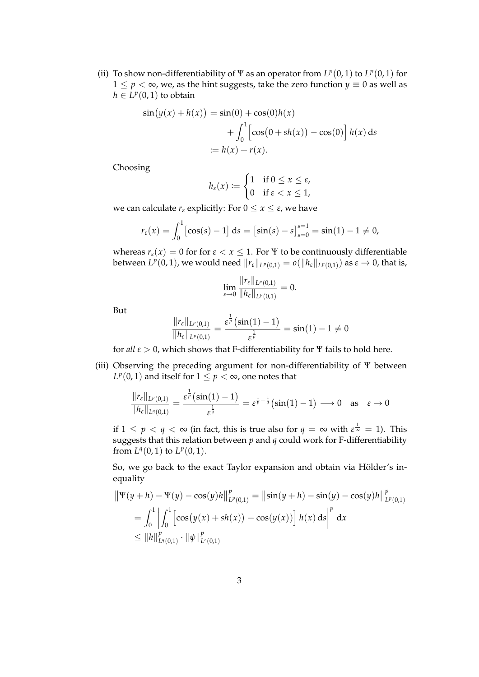(ii) To show non-differentiability of  $\Psi$  as an operator from  $L^p(0,1)$  to  $L^p(0,1)$  for  $1 \leq p \leq \infty$ , we, as the hint suggests, take the zero function  $y \equiv 0$  as well as  $h \in L^p(0,1)$  to obtain

$$
\sin(y(x) + h(x)) = \sin(0) + \cos(0)h(x) \n+ \int_0^1 \left[ \cos(0 + sh(x)) - \cos(0) \right] h(x) ds \n:= h(x) + r(x).
$$

Choosing

$$
h_{\varepsilon}(x) := \begin{cases} 1 & \text{if } 0 \leq x \leq \varepsilon, \\ 0 & \text{if } \varepsilon < x \leq 1, \end{cases}
$$

we can calculate  $r_{\varepsilon}$  explicitly: For  $0 \le x \le \varepsilon$ , we have

$$
r_{\varepsilon}(x) = \int_0^1 \left[ \cos(s) - 1 \right] ds = \left[ \sin(s) - s \right]_{s=0}^{s=1} = \sin(1) - 1 \neq 0,
$$

whereas  $r_{\varepsilon}(x) = 0$  for for  $\varepsilon < x \leq 1$ . For  $\Psi$  to be continuously differentiable between  $L^p(0,1)$ , we would need  $\|r_\varepsilon\|_{L^p(0,1)} = o(\|h_\varepsilon\|_{L^p(0,1)})$  as  $\varepsilon \to 0$ , that is,

$$
\lim_{\varepsilon \to 0} \frac{\|r_{\varepsilon}\|_{L^{p}(0,1)}}{\|h_{\varepsilon}\|_{L^{p}(0,1)}} = 0.
$$

But

$$
\frac{\|r_{\varepsilon}\|_{L^{p}(0,1)}}{\|h_{\varepsilon}\|_{L^{p}(0,1)}} = \frac{\varepsilon^{\frac{1}{p}}(\sin(1)-1)}{\varepsilon^{\frac{1}{p}}} = \sin(1)-1 \neq 0
$$

for *all*  $\varepsilon > 0$ , which shows that F-differentiability for  $\Psi$  fails to hold here.

(iii) Observing the preceding argument for non-differentiability of Ψ between  $L^p(0,1)$  and itself for  $1 \leq p < \infty$ , one notes that

$$
\frac{\|r_\varepsilon\|_{L^p(0,1)}}{\|h_\varepsilon\|_{L^q(0,1)}}=\frac{\varepsilon^{\frac{1}{p}}\bigl(\sin(1)-1\bigr)}{\varepsilon^{\frac{1}{q}}}=\varepsilon^{\frac{1}{p}-\frac{1}{q}}\bigl(\sin(1)-1\bigr)\longrightarrow 0\quad\text{as}\quad \varepsilon\to 0
$$

if  $1\leq p < q < \infty$  (in fact, this is true also for  $q = \infty$  with  $\varepsilon^{\frac{1}{\infty}} = 1$ ). This suggests that this relation between *p* and *q* could work for F-differentiability from  $L^q(0,1)$  to  $L^p(0,1)$ .

So, we go back to the exact Taylor expansion and obtain via Hölder's inequality

$$
\|\Psi(y+h) - \Psi(y) - \cos(y)h\|_{L^p(0,1)}^p = \|\sin(y+h) - \sin(y) - \cos(y)h\|_{L^p(0,1)}^p
$$
  
=  $\int_0^1 \left| \int_0^1 \left[ \cos(y(x) + sh(x)) - \cos(y(x)) \right] h(x) ds \right|^p dx$   
\$\leq \|h\|\_{L^q(0,1)}^p \cdot \|\psi\|\_{L^r(0,1)}^p\$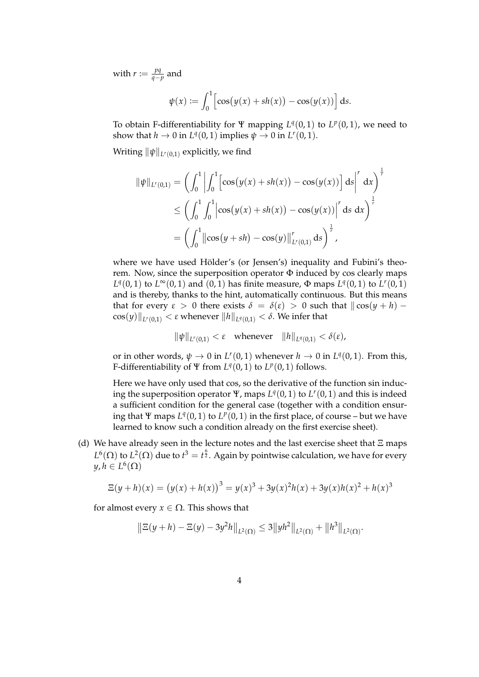with  $r := \frac{pq}{q}$ *q*−*p* and

$$
\psi(x) := \int_0^1 \left[ \cos(y(x) + sh(x)) - \cos(y(x)) \right] ds.
$$

To obtain F-differentiability for  $\Psi$  mapping  $L^q(0,1)$  to  $L^p(0,1)$ , we need to show that  $h \to 0$  in  $L^q(0,1)$  implies  $\psi \to 0$  in  $L^r(0,1)$ .

Writing  $\|\psi\|_{L^r(0,1)}$  explicitly, we find

$$
\|\psi\|_{L^r(0,1)} = \left(\int_0^1 \left| \int_0^1 \left[ \cos(y(x) + sh(x)) - \cos(y(x)) \right] ds \right|^r dx \right)^{\frac{1}{r}}
$$
  
\n
$$
\leq \left(\int_0^1 \int_0^1 \left| \cos(y(x) + sh(x)) - \cos(y(x)) \right|^r ds dx \right)^{\frac{1}{r}}
$$
  
\n
$$
= \left(\int_0^1 \left| \cos(y + sh) - \cos(y) \right| \right|_{L^r(0,1)}^r ds \right)^{\frac{1}{r}},
$$

where we have used Hölder's (or Jensen's) inequality and Fubini's theorem. Now, since the superposition operator  $\Phi$  induced by cos clearly maps *L*<sup> $q$ </sup>(0, 1) to *L*<sup>∞</sup>(0, 1) and (0, 1) has finite measure,  $\Phi$  maps *L*<sup> $q$ </sup>(0, 1) to *L<sup><i>r*</sup>(0, 1)</sub> and is thereby, thanks to the hint, automatically continuous. But this means that for every  $\varepsilon > 0$  there exists  $\delta = \delta(\varepsilon) > 0$  such that  $\left| \cos(y+h) - \right|$  $\cos(y)\Vert_{L^r(0,1)} < \varepsilon$  whenever  $\Vert h \Vert_{L^q(0,1)} < \delta.$  We infer that

$$
\|\psi\|_{L^r(0,1)} < \varepsilon \quad \text{whenever} \quad \|h\|_{L^q(0,1)} < \delta(\varepsilon),
$$

or in other words,  $\psi \to 0$  in  $L^r(0,1)$  whenever  $h \to 0$  in  $L^q(0,1)$ . From this, F-differentiability of  $\Psi$  from  $L^q(0,1)$  to  $L^p(0,1)$  follows.

Here we have only used that cos, so the derivative of the function sin inducing the superposition operator  $\Psi$ , maps  $L^q(0,1)$  to  $L^r(0,1)$  and this is indeed a sufficient condition for the general case (together with a condition ensuring that  $\Psi$  maps  $L^q(0,1)$  to  $L^p(0,1)$  in the first place, of course – but we have learned to know such a condition already on the first exercise sheet).

(d) We have already seen in the lecture notes and the last exercise sheet that  $E$  maps  $L^6(\Omega)$  to  $L^2(\Omega)$  due to  $t^3 = t^{\frac{6}{2}}$ . Again by pointwise calculation, we have for every  $y, h \in L^6(\Omega)$ 

$$
\Xi(y+h)(x) = (y(x) + h(x))^3 = y(x)^3 + 3y(x)^2h(x) + 3y(x)h(x)^2 + h(x)^3
$$

for almost every  $x \in \Omega$ . This shows that

$$
\|\Xi(y+h)-\Xi(y)-3y^2h\|_{L^2(\Omega)}\leq 3\|yh^2\|_{L^2(\Omega)}+\|h^3\|_{L^2(\Omega)}.
$$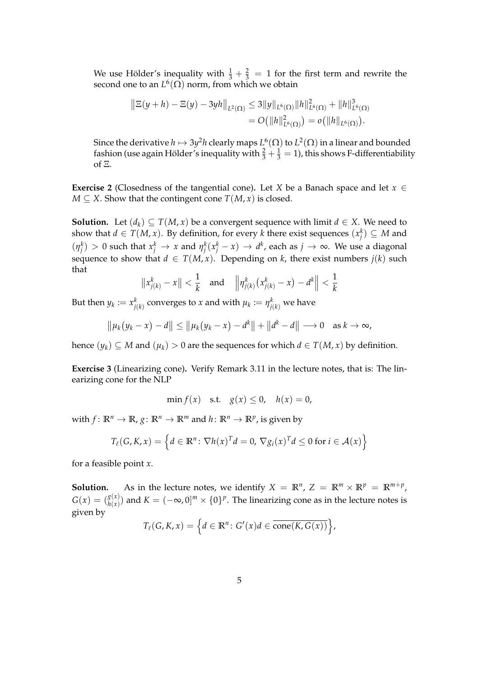We use Hölder's inequality with  $\frac{1}{3} + \frac{2}{3} = 1$  for the first term and rewrite the second one to an  $L^6(\Omega)$  norm, from which we obtain

$$
\|\Xi(y+h)-\Xi(y)-3yh\|_{L^2(\Omega)} \leq 3\|y\|_{L^6(\Omega)}\|h\|_{L^6(\Omega)}^2+\|h\|_{L^6(\Omega)}^3
$$
  
=  $O(\|h\|_{L^6(\Omega)}^2) = o(\|h\|_{L^6(\Omega)}).$ 

Since the derivative  $h\mapsto 3y^2h$  clearly maps  $L^6(\Omega)$  to  $L^2(\Omega)$  in a linear and bounded fashion (use again Hölder's inequality with  $\frac{2}{3}+\frac{1}{3}=1$ ), this shows F-differentiability of Ξ.

**Exercise 2** (Closedness of the tangential cone). Let *X* be a Banach space and let  $x \in$ *M* ⊆ *X*. Show that the contingent cone *T*(*M*, *x*) is closed.

**Solution.** Let  $(d_k)$  ⊆  $T(M, x)$  be a convergent sequence with limit  $d \in X$ . We need to show that  $d \in T(M, x)$ . By definition, for every *k* there exist sequences  $(x_j^k) \subseteq M$  and  $\lambda(\eta^k_j) > 0$  such that  $x^k_j \to x$  and  $\eta^k_j(x^k_j - x) \to d^k$ , each as  $j \to \infty$ . We use a diagonal sequence to show that  $d \in T(M, x)$ . Depending on *k*, there exist numbers  $j(k)$  such that

$$
||x_{j(k)}^k - x|| < \frac{1}{k}
$$
 and  $||\eta_{j(k)}^k (x_{j(k)}^k - x) - d^k|| < \frac{1}{k}$ 

But then  $y_k \coloneqq x_{j(k)}^k$  converges to  $x$  and with  $\mu_k \coloneqq \eta_{j(k)}^k$  we have

$$
\|\mu_k(y_k - x) - d\| \le \|\mu_k(y_k - x) - d^k\| + \|d^k - d\| \to 0 \text{ as } k \to \infty,
$$

hence  $(y_k) \subseteq M$  and  $(\mu_k) > 0$  are the sequences for which  $d \in T(M, x)$  by definition.

**Exercise 3** (Linearizing cone)**.** Verify Remark 3.11 in the lecture notes, that is: The linearizing cone for the NLP

$$
\min f(x) \quad \text{s.t.} \quad g(x) \le 0, \quad h(x) = 0,
$$

with  $f: \mathbb{R}^n \to \mathbb{R}$ ,  $g: \mathbb{R}^n \to \mathbb{R}^m$  and  $h: \mathbb{R}^n \to \mathbb{R}^p$ , is given by

$$
T_{\ell}(G,K,x) = \left\{ d \in \mathbb{R}^n \colon \nabla h(x)^T d = 0, \nabla g_i(x)^T d \le 0 \text{ for } i \in \mathcal{A}(x) \right\}
$$

for a feasible point *x*.

**Solution.** As in the lecture notes, we identify  $X = \mathbb{R}^n$ ,  $Z = \mathbb{R}^m \times \mathbb{R}^p = \mathbb{R}^{m+p}$ ,  $G(x) = \binom{g(x)}{h(x)}$  $\binom{g(x)}{h(x)}$  and  $K=(-\infty,0]^m\times\{0\}^p.$  The linearizing cone as in the lecture notes is given by

$$
T_{\ell}(G,K,x) = \left\{ d \in \mathbb{R}^n \colon G'(x) d \in \overline{\text{cone}(K, G(x))} \right\},\
$$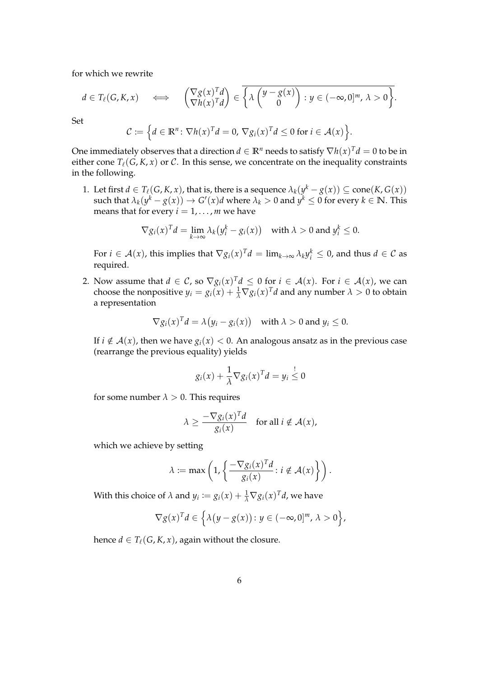for which we rewrite

$$
d \in T_{\ell}(G,K,x) \quad \Longleftrightarrow \quad \begin{pmatrix} \nabla g(x)^T d \\ \nabla h(x)^T d \end{pmatrix} \in \overline{\left\{ \lambda \begin{pmatrix} y - g(x) \\ 0 \end{pmatrix} : y \in (-\infty,0]^m, \, \lambda > 0 \right\}}.
$$

Set

$$
\mathcal{C} \coloneqq \Big\{ d \in \mathbb{R}^n \colon \nabla h(x)^T d = 0, \, \nabla g_i(x)^T d \leq 0 \text{ for } i \in \mathcal{A}(x) \Big\}.
$$

One immediately observes that a direction  $d \in \mathbb{R}^n$  needs to satisfy  $\nabla h(x)^T d = 0$  to be in either cone  $T_\ell(G, K, x)$  or C. In this sense, we concentrate on the inequality constraints in the following.

1. Let first  $d \in T_\ell(G, K, x)$ , that is, there is a sequence  $\lambda_k(y^k - g(x)) \subseteq \mathrm{cone}(K, G(x))$  $\text{such that } \lambda_k(y^k - g(x)) \to G'(x)d \text{ where } \lambda_k > 0 \text{ and } y^k \leq 0 \text{ for every } k \in \mathbb{N}. \text{ This}$ means that for every  $i = 1, \ldots, m$  we have

$$
\nabla g_i(x)^T d = \lim_{k \to \infty} \lambda_k (y_i^k - g_i(x)) \quad \text{with } \lambda > 0 \text{ and } y_i^k \le 0.
$$

For  $i \in \mathcal{A}(x)$ , this implies that  $\nabla g_i(x)^T d = \lim_{k \to \infty} \lambda_k y_i^k \leq 0$ , and thus  $d \in \mathcal{C}$  as required.

2. Now assume that  $d \in C$ , so  $\nabla g_i(x)^T d \leq 0$  for  $i \in \mathcal{A}(x)$ . For  $i \in \mathcal{A}(x)$ , we can choose the nonpositive  $y_i = g_i(x) + \frac{1}{\lambda} \nabla g_i(x)^T d$  and any number  $\lambda > 0$  to obtain a representation

$$
\nabla g_i(x)^T d = \lambda (y_i - g_i(x)) \quad \text{with } \lambda > 0 \text{ and } y_i \le 0.
$$

If  $i \notin A(x)$ , then we have  $g_i(x) < 0$ . An analogous ansatz as in the previous case (rearrange the previous equality) yields

$$
g_i(x) + \frac{1}{\lambda} \nabla g_i(x)^T d = y_i \overset{!}{\leq} 0
$$

for some number  $\lambda > 0$ . This requires

$$
\lambda \ge \frac{-\nabla g_i(x)^T d}{g_i(x)} \quad \text{for all } i \notin \mathcal{A}(x),
$$

which we achieve by setting

$$
\lambda \coloneqq \max\left(1, \left\{\frac{-\nabla g_i(x)^T d}{g_i(x)} : i \notin \mathcal{A}(x)\right\}\right).
$$

With this choice of  $\lambda$  and  $y_i := g_i(x) + \frac{1}{\lambda} \nabla g_i(x)^T d$ , we have

$$
\nabla g(x)^T d \in \left\{ \lambda \left( y - g(x) \right) : y \in (-\infty, 0]^m, \, \lambda > 0 \right\},\
$$

hence  $d \in T_\ell(G, K, x)$ , again without the closure.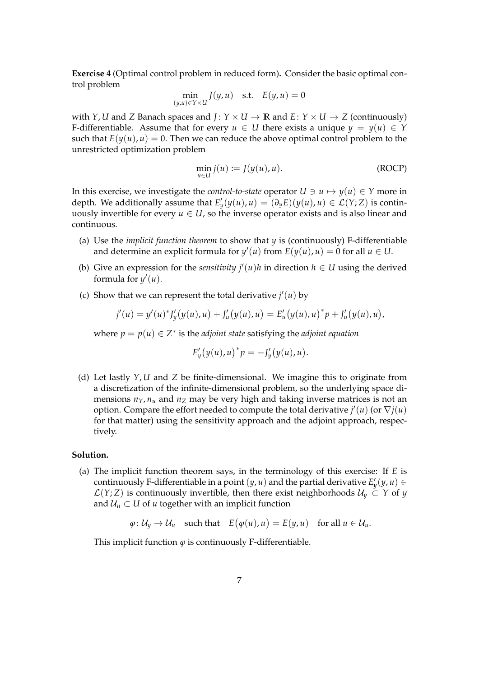**Exercise 4** (Optimal control problem in reduced form)**.** Consider the basic optimal control problem

$$
\min_{(y,u)\in Y\times U} J(y,u) \quad \text{s.t.} \quad E(y,u) = 0
$$

with *Y*, *U* and *Z* Banach spaces and *J*:  $Y \times U \rightarrow \mathbb{R}$  and  $E: Y \times U \rightarrow Z$  (continuously) F-differentiable. Assume that for every  $u \in U$  there exists a unique  $y = y(u) \in Y$ such that  $E(y(u), u) = 0$ . Then we can reduce the above optimal control problem to the unrestricted optimization problem

$$
\min_{u \in U} j(u) := J(y(u), u). \tag{ROCP}
$$

In this exercise, we investigate the *control-to-state* operator  $U \ni u \mapsto y(u) \in Y$  more in depth. We additionally assume that  $E'_y(y(u), u) = (\partial_y E)(y(u), u) \in \mathcal{L}(Y; Z)$  is continuously invertible for every  $u \in U$ , so the inverse operator exists and is also linear and continuous.

- (a) Use the *implicit function theorem* to show that *y* is (continuously) F-differentiable and determine an explicit formula for  $y'(u)$  from  $E(y(u), u) = 0$  for all  $u \in U$ .
- (b) Give an expression for the *sensitivity*  $j'(u)h$  in direction  $h \in U$  using the derived formula for  $y'(u)$ .
- (c) Show that we can represent the total derivative  $j'(u)$  by

$$
j'(u) = y'(u)^* J'_y(y(u), u) + J'_u(y(u), u) = E'_u(y(u), u)^* p + J'_u(y(u), u),
$$

where  $p = p(u) \in Z^*$  is the *adjoint state* satisfying the *adjoint equation* 

$$
E'_{y}(y(u),u)^{*}p=-J'_{y}(y(u),u).
$$

(d) Let lastly *Y*, *U* and *Z* be finite-dimensional. We imagine this to originate from a discretization of the infinite-dimensional problem, so the underlying space dimensions  $n_Y$ ,  $n_u$  and  $n_Z$  may be very high and taking inverse matrices is not an option. Compare the effort needed to compute the total derivative  $j'(u)$  (or  $\nabla j(u)$ for that matter) using the sensitivity approach and the adjoint approach, respectively.

## **Solution.**

(a) The implicit function theorem says, in the terminology of this exercise: If *E* is continuously F-differentiable in a point  $(y, u)$  and the partial derivative  $E'_y(y, u) \in$  $\mathcal{L}(Y;Z)$  is continuously invertible, then there exist neighborhoods  $\mathcal{U}_y \subset Y$  of *y* and  $U_u \subset U$  of *u* together with an implicit function

$$
\varphi: \mathcal{U}_y \to \mathcal{U}_u
$$
 such that  $E(\varphi(u), u) = E(y, u)$  for all  $u \in \mathcal{U}_u$ .

This implicit function  $\varphi$  is continuously F-differentiable.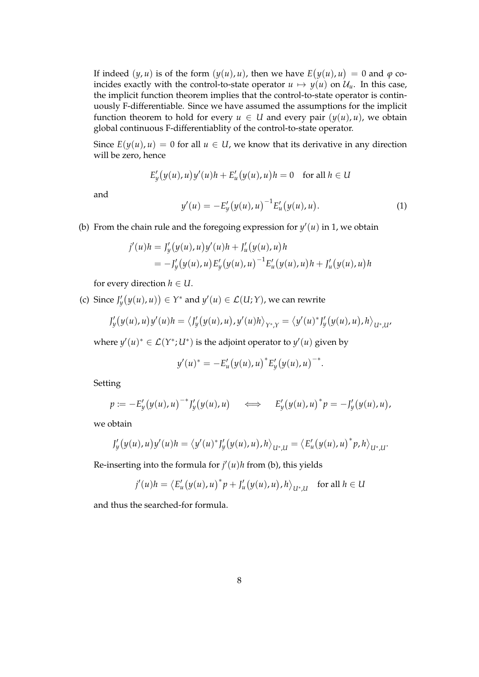If indeed  $(y, u)$  is of the form  $(y(u), u)$ , then we have  $E(y(u), u) = 0$  and  $\varphi$  coincides exactly with the control-to-state operator  $u \mapsto y(u)$  on  $\mathcal{U}_u$ . In this case, the implicit function theorem implies that the control-to-state operator is continuously F-differentiable. Since we have assumed the assumptions for the implicit function theorem to hold for every  $u \in U$  and every pair  $(y(u), u)$ , we obtain global continuous F-differentiablity of the control-to-state operator.

Since  $E(y(u), u) = 0$  for all  $u \in U$ , we know that its derivative in any direction will be zero, hence

$$
E'_{y}(y(u), u)y'(u)h + E'_{u}(y(u), u)h = 0 \text{ for all } h \in U
$$

and

$$
y'(u) = -E_y'(y(u), u)^{-1} E'_u(y(u), u).
$$
 (1)

(b) From the chain rule and the foregoing expression for  $y'(u)$  in 1, we obtain

$$
j'(u)h = J'_y(y(u), u)y'(u)h + J'_u(y(u), u)h
$$
  
=  $-J'_y(y(u), u)E'_y(y(u), u)^{-1}E'_u(y(u), u)h + J'_u(y(u), u)h$ 

for every direction  $h \in U$ .

(c) Since  $J'_y(y(u), u)) \in Y^*$  and  $y'(u) \in \mathcal{L}(U; Y)$ , we can rewrite

$$
J'_{y}(y(u),u)y'(u)h = \langle J'_{y}(y(u),u), y'(u)h \rangle_{Y^*,Y} = \langle y'(u)^*J'_{y}(y(u),u), h \rangle_{U^*,Y'}
$$

where  $y'(u)^* \in \mathcal{L}(Y^*; U^*)$  is the adjoint operator to  $y'(u)$  given by

$$
y'(u)^* = -E'_u(y(u),u)^*E'_y(y(u),u)^{-*}.
$$

Setting

$$
p := -E'_y(y(u), u)^{-*}J'_y(y(u), u) \iff E'_y(y(u), u)^*p = -J'_y(y(u), u),
$$

we obtain

$$
J'_{y}(y(u), u)y'(u)h = \langle y'(u)^* J'_{y}(y(u), u), h \rangle_{U^*,U} = \langle E'_{u}(y(u), u)^* p, h \rangle_{U^*,U}.
$$

Re-inserting into the formula for  $j'(u)h$  from (b), this yields

$$
j'(u)h = \langle E'_u(y(u),u)^*p + J'_u(y(u),u),h\rangle_{U^*,U} \text{ for all } h \in U
$$

and thus the searched-for formula.